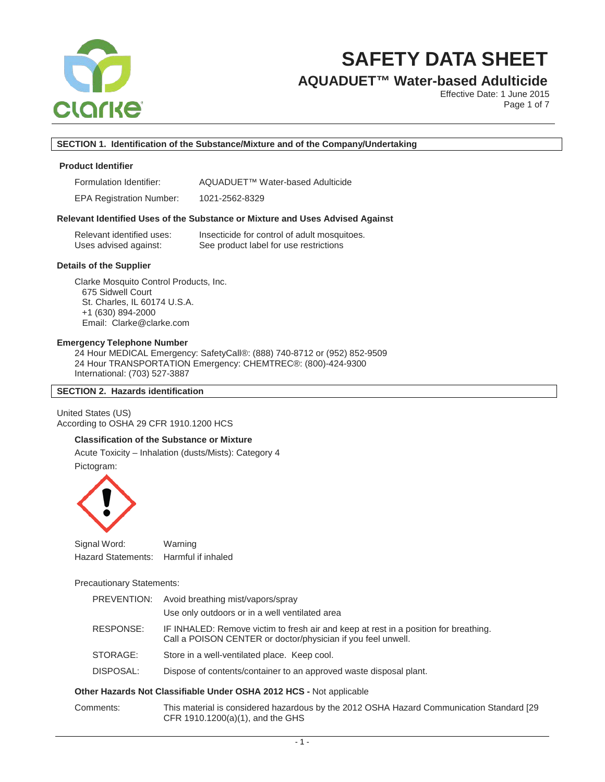

# **AQUADUET™ Water-based Adulticide**

Effective Date: 1 June 2015 Page 1 of 7

## **SECTION 1. Identification of the Substance/Mixture and of the Company/Undertaking**

### **Product Identifier**

EPA Registration Number: 1021-2562-8329

#### **Relevant Identified Uses of the Substance or Mixture and Uses Advised Against**

| Relevant identified uses: | Insecticide for control of adult mosquitoes. |
|---------------------------|----------------------------------------------|
| Uses advised against:     | See product label for use restrictions       |

#### **Details of the Supplier**

Clarke Mosquito Control Products, Inc. 675 Sidwell Court St. Charles, IL 60174 U.S.A. +1 (630) 894-2000 Email: Clarke@clarke.com

#### **Emergency Telephone Number**

24 Hour MEDICAL Emergency: SafetyCall®: (888) 740-8712 or (952) 852-9509 24 Hour TRANSPORTATION Emergency: CHEMTREC®: (800)-424-9300 International: (703) 527-3887

#### **SECTION 2. Hazards identification**

United States (US) According to OSHA 29 CFR 1910.1200 HCS

# **Classification of the Substance or Mixture**

Acute Toxicity – Inhalation (dusts/Mists): Category 4 Pictogram:



| Signal Word:       | Warning            |
|--------------------|--------------------|
| Hazard Statements: | Harmful if inhaled |

Precautionary Statements:

| PREVENTION:                                                         | Avoid breathing mist/vapors/spray                                                                                                                    |  |
|---------------------------------------------------------------------|------------------------------------------------------------------------------------------------------------------------------------------------------|--|
|                                                                     | Use only outdoors or in a well ventilated area                                                                                                       |  |
| RESPONSE:                                                           | IF INHALED: Remove victim to fresh air and keep at rest in a position for breathing.<br>Call a POISON CENTER or doctor/physician if you feel unwell. |  |
| STORAGE:                                                            | Store in a well-ventilated place. Keep cool.                                                                                                         |  |
| DISPOSAL:                                                           | Dispose of contents/container to an approved waste disposal plant.                                                                                   |  |
| an Hamanda, Nat Olasa (Cable Hudso OOHA OOAO HOO - Nationalizable - |                                                                                                                                                      |  |

### **Other Hazards Not Classifiable Under OSHA 2012 HCS -** Not applicable

Comments: This material is considered hazardous by the 2012 OSHA Hazard Communication Standard [29 CFR 1910.1200(a)(1), and the GHS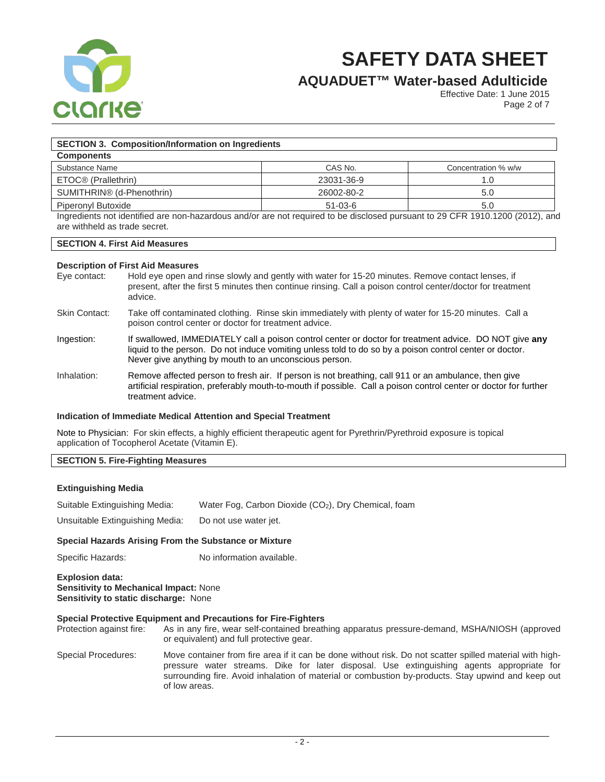

# **AQUADUET™ Water-based Adulticide**

Effective Date: 1 June 2015 Page 2 of 7

## **SECTION 3. Composition/Information on Ingredients**

| <b>Components</b>                     |            |                     |
|---------------------------------------|------------|---------------------|
| Substance Name                        | CAS No.    | Concentration % w/w |
| ETOC <sup>®</sup> (Prallethrin)       | 23031-36-9 |                     |
| SUMITHRIN <sup>®</sup> (d-Phenothrin) | 26002-80-2 | 5.0                 |
| Piperonyl Butoxide                    | $51-03-6$  | 5.0                 |

Ingredients not identified are non-hazardous and/or are not required to be disclosed pursuant to 29 CFR 1910.1200 (2012), and are withheld as trade secret.

### **SECTION 4. First Aid Measures**

# **Description of First Aid Measures**

- Hold eye open and rinse slowly and gently with water for 15-20 minutes. Remove contact lenses, if present, after the first 5 minutes then continue rinsing. Call a poison control center/doctor for treatment advice.
- Skin Contact: Take off contaminated clothing. Rinse skin immediately with plenty of water for 15-20 minutes. Call a poison control center or doctor for treatment advice.
- Ingestion: If swallowed, IMMEDIATELY call a poison control center or doctor for treatment advice. DO NOT give **any** liquid to the person. Do not induce vomiting unless told to do so by a poison control center or doctor. Never give anything by mouth to an unconscious person.
- Inhalation: Remove affected person to fresh air. If person is not breathing, call 911 or an ambulance, then give artificial respiration, preferably mouth-to-mouth if possible. Call a poison control center or doctor for further treatment advice.

#### **Indication of Immediate Medical Attention and Special Treatment**

Note to Physician: For skin effects, a highly efficient therapeutic agent for Pyrethrin/Pyrethroid exposure is topical application of Tocopherol Acetate (Vitamin E).

### **SECTION 5. Fire-Fighting Measures**

#### **Extinguishing Media**

Suitable Extinguishing Media: Water Fog, Carbon Dioxide (CO<sub>2</sub>), Dry Chemical, foam

Unsuitable Extinguishing Media: Do not use water jet.

#### **Special Hazards Arising From the Substance or Mixture**

Specific Hazards: No information available.

#### **Explosion data: Sensitivity to Mechanical Impact:** None **Sensitivity to static discharge:** None

# **Special Protective Equipment and Precautions for Fire-Fighters**

As in any fire, wear self-contained breathing apparatus pressure-demand, MSHA/NIOSH (approved or equivalent) and full protective gear.

Special Procedures: Move container from fire area if it can be done without risk. Do not scatter spilled material with highpressure water streams. Dike for later disposal. Use extinguishing agents appropriate for surrounding fire. Avoid inhalation of material or combustion by-products. Stay upwind and keep out of low areas.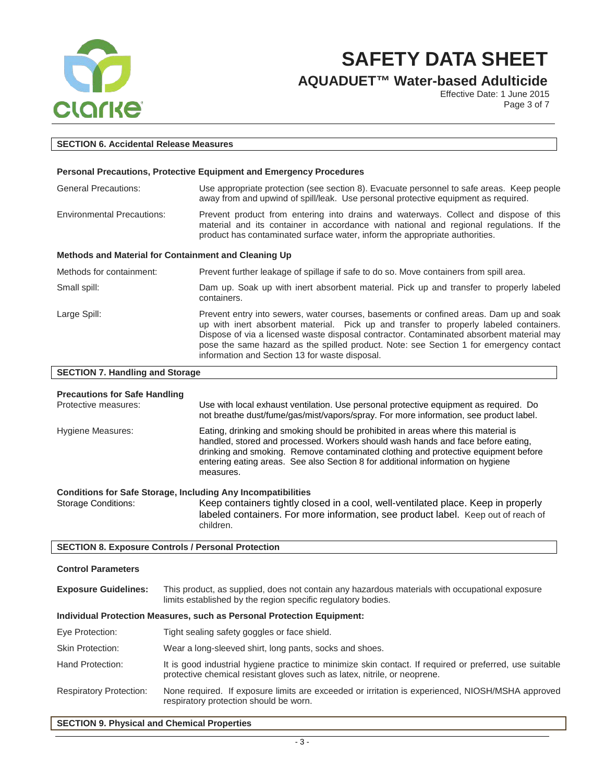

**AQUADUET™ Water-based Adulticide**

Effective Date: 1 June 2015 Page 3 of 7

| <b>SECTION 6. Accidental Release Measures</b>                       |                                                                                                                                                                                                                                                                                                                                                                                                                          |  |
|---------------------------------------------------------------------|--------------------------------------------------------------------------------------------------------------------------------------------------------------------------------------------------------------------------------------------------------------------------------------------------------------------------------------------------------------------------------------------------------------------------|--|
|                                                                     |                                                                                                                                                                                                                                                                                                                                                                                                                          |  |
|                                                                     | Personal Precautions, Protective Equipment and Emergency Procedures                                                                                                                                                                                                                                                                                                                                                      |  |
| <b>General Precautions:</b>                                         | Use appropriate protection (see section 8). Evacuate personnel to safe areas. Keep people<br>away from and upwind of spill/leak. Use personal protective equipment as required.                                                                                                                                                                                                                                          |  |
| <b>Environmental Precautions:</b>                                   | Prevent product from entering into drains and waterways. Collect and dispose of this<br>material and its container in accordance with national and regional regulations. If the<br>product has contaminated surface water, inform the appropriate authorities.                                                                                                                                                           |  |
|                                                                     | Methods and Material for Containment and Cleaning Up                                                                                                                                                                                                                                                                                                                                                                     |  |
| Methods for containment:                                            | Prevent further leakage of spillage if safe to do so. Move containers from spill area.                                                                                                                                                                                                                                                                                                                                   |  |
| Small spill:                                                        | Dam up. Soak up with inert absorbent material. Pick up and transfer to properly labeled<br>containers.                                                                                                                                                                                                                                                                                                                   |  |
| Large Spill:                                                        | Prevent entry into sewers, water courses, basements or confined areas. Dam up and soak<br>up with inert absorbent material. Pick up and transfer to properly labeled containers.<br>Dispose of via a licensed waste disposal contractor. Contaminated absorbent material may<br>pose the same hazard as the spilled product. Note: see Section 1 for emergency contact<br>information and Section 13 for waste disposal. |  |
| <b>SECTION 7. Handling and Storage</b>                              |                                                                                                                                                                                                                                                                                                                                                                                                                          |  |
| <b>Precautions for Safe Handling</b>                                |                                                                                                                                                                                                                                                                                                                                                                                                                          |  |
| Protective measures:                                                | Use with local exhaust ventilation. Use personal protective equipment as required. Do<br>not breathe dust/fume/gas/mist/vapors/spray. For more information, see product label.                                                                                                                                                                                                                                           |  |
| Hygiene Measures:                                                   | Eating, drinking and smoking should be prohibited in areas where this material is<br>handled, stored and processed. Workers should wash hands and face before eating,<br>drinking and smoking. Remove contaminated clothing and protective equipment before<br>entering eating areas. See also Section 8 for additional information on hygiene<br>measures.                                                              |  |
| <b>Conditions for Safe Storage, Including Any Incompatibilities</b> |                                                                                                                                                                                                                                                                                                                                                                                                                          |  |
| <b>Storage Conditions:</b>                                          | Keep containers tightly closed in a cool, well-ventilated place. Keep in properly<br>labeled containers. For more information, see product label. Keep out of reach of<br>children.                                                                                                                                                                                                                                      |  |
| <b>SECTION 8. Exposure Controls / Personal Protection</b>           |                                                                                                                                                                                                                                                                                                                                                                                                                          |  |
| <b>Control Parameters</b>                                           |                                                                                                                                                                                                                                                                                                                                                                                                                          |  |
| <b>Exposure Guidelines:</b>                                         | This product, as supplied, does not contain any hazardous materials with occupational exposure<br>limits established by the region specific regulatory bodies.                                                                                                                                                                                                                                                           |  |
|                                                                     | dhilahal Destastian Magaiman, angkan Dagaanal Destastian Emilymanti                                                                                                                                                                                                                                                                                                                                                      |  |

#### **Individual Protection Measures, such as Personal Protection Equipment:**

| Eye Protection:                | Tight sealing safety goggles or face shield.                                                                                                                                         |
|--------------------------------|--------------------------------------------------------------------------------------------------------------------------------------------------------------------------------------|
| <b>Skin Protection:</b>        | Wear a long-sleeved shirt, long pants, socks and shoes.                                                                                                                              |
| Hand Protection:               | It is good industrial hygiene practice to minimize skin contact. If required or preferred, use suitable<br>protective chemical resistant gloves such as latex, nitrile, or neoprene. |
| <b>Respiratory Protection:</b> | None required. If exposure limits are exceeded or irritation is experienced, NIOSH/MSHA approved<br>respiratory protection should be worn.                                           |

# **SECTION 9. Physical and Chemical Properties**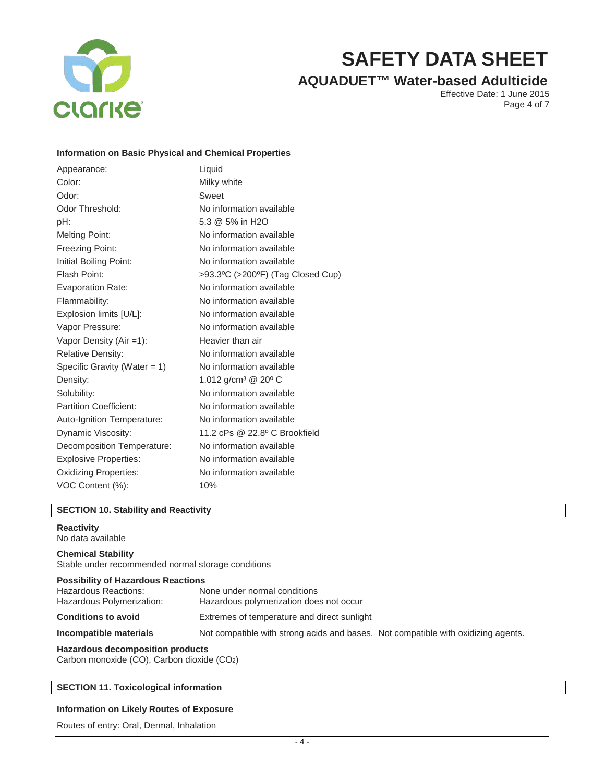

# **AQUADUET™ Water-based Adulticide**

Effective Date: 1 June 2015 Page 4 of 7

# **Information on Basic Physical and Chemical Properties**

| Appearance:                     | Liquid                                      |
|---------------------------------|---------------------------------------------|
| Color:                          | Milky white                                 |
| Odor:                           | Sweet                                       |
| Odor Threshold:                 | No information available                    |
| pH:                             | 5.3 @ 5% in H2O                             |
| <b>Melting Point:</b>           | No information available                    |
| Freezing Point:                 | No information available                    |
| Initial Boiling Point:          | No information available                    |
| Flash Point:                    | >93.3°C (>200°F) (Tag Closed Cup)           |
| Evaporation Rate:               | No information available                    |
| Flammability:                   | No information available                    |
| Explosion limits [U/L]:         | No information available                    |
| Vapor Pressure:                 | No information available                    |
| Vapor Density (Air = 1):        | Heavier than air                            |
| <b>Relative Density:</b>        | No information available                    |
| Specific Gravity (Water $= 1$ ) | No information available                    |
| Density:                        | 1.012 g/cm <sup>3</sup> @ 20 <sup>o</sup> C |
| Solubility:                     | No information available                    |
| <b>Partition Coefficient:</b>   | No information available                    |
| Auto-Ignition Temperature:      | No information available                    |
| Dynamic Viscosity:              | 11.2 cPs @ 22.8º C Brookfield               |
| Decomposition Temperature:      | No information available                    |
| <b>Explosive Properties:</b>    | No information available                    |
| <b>Oxidizing Properties:</b>    | No information available                    |
| VOC Content (%):                | 10%                                         |

#### **SECTION 10. Stability and Reactivity**

#### **Reactivity**

No data available

## **Chemical Stability**

Stable under recommended normal storage conditions

### **Possibility of Hazardous Reactions**

| Hazardous Reactions:<br>Hazardous Polymerization: | None under normal conditions<br>Hazardous polymerization does not occur           |  |
|---------------------------------------------------|-----------------------------------------------------------------------------------|--|
| <b>Conditions to avoid</b>                        | Extremes of temperature and direct sunlight                                       |  |
| Incompatible materials                            | Not compatible with strong acids and bases. Not compatible with oxidizing agents. |  |

# **Hazardous decomposition products**

Carbon monoxide (CO), Carbon dioxide (CO2)

#### **SECTION 11. Toxicological information**

#### **Information on Likely Routes of Exposure**

Routes of entry: Oral, Dermal, Inhalation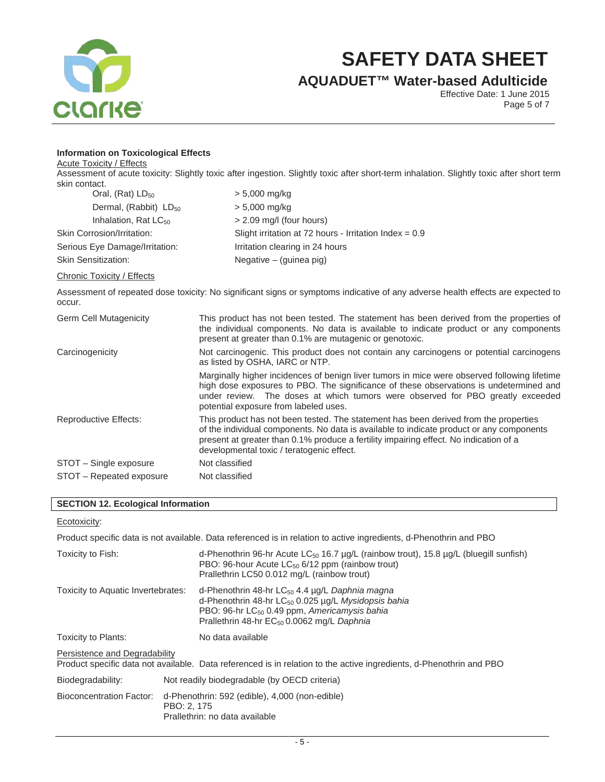

**AQUADUET™ Water-based Adulticide**

Effective Date: 1 June 2015 Page 5 of 7

# **Information on Toxicological Effects**

Acute Toxicity / Effects

Assessment of acute toxicity: Slightly toxic after ingestion. Slightly toxic after short-term inhalation. Slightly toxic after short term skin contact.

| Oral, $(Rat)$ LD <sub>50</sub>    | $> 5,000$ mg/kg                                          |
|-----------------------------------|----------------------------------------------------------|
| Dermal, (Rabbit) LD <sub>50</sub> | $> 5,000$ mg/kg                                          |
| Inhalation, Rat $LC_{50}$         | $> 2.09$ mg/l (four hours)                               |
| Skin Corrosion/Irritation:        | Slight irritation at 72 hours - Irritation Index = $0.9$ |
| Serious Eye Damage/Irritation:    | Irritation clearing in 24 hours                          |
| <b>Skin Sensitization:</b>        | Negative $-$ (guinea pig)                                |

#### Chronic Toxicity / Effects

Assessment of repeated dose toxicity: No significant signs or symptoms indicative of any adverse health effects are expected to occur.

| <b>Germ Cell Mutagenicity</b> | This product has not been tested. The statement has been derived from the properties of<br>the individual components. No data is available to indicate product or any components<br>present at greater than 0.1% are mutagenic or genotoxic.                                                                           |
|-------------------------------|------------------------------------------------------------------------------------------------------------------------------------------------------------------------------------------------------------------------------------------------------------------------------------------------------------------------|
| Carcinogenicity               | Not carcinogenic. This product does not contain any carcinogens or potential carcinogens<br>as listed by OSHA, IARC or NTP.                                                                                                                                                                                            |
|                               | Marginally higher incidences of benign liver tumors in mice were observed following lifetime<br>high dose exposures to PBO. The significance of these observations is undetermined and<br>under review. The doses at which tumors were observed for PBO greatly exceeded<br>potential exposure from labeled uses.      |
| <b>Reproductive Effects:</b>  | This product has not been tested. The statement has been derived from the properties<br>of the individual components. No data is available to indicate product or any components<br>present at greater than 0.1% produce a fertility impairing effect. No indication of a<br>developmental toxic / teratogenic effect. |
| STOT - Single exposure        | Not classified                                                                                                                                                                                                                                                                                                         |
| STOT – Repeated exposure      | Not classified                                                                                                                                                                                                                                                                                                         |

# **SECTION 12. Ecological Information**

# Ecotoxicity:

|                                    |                                                                                                 | Product specific data is not available. Data referenced is in relation to active ingredients, d-Phenothrin and PBO                                                                                                                         |  |
|------------------------------------|-------------------------------------------------------------------------------------------------|--------------------------------------------------------------------------------------------------------------------------------------------------------------------------------------------------------------------------------------------|--|
| Toxicity to Fish:                  |                                                                                                 | d-Phenothrin 96-hr Acute LC <sub>50</sub> 16.7 $\mu$ g/L (rainbow trout), 15.8 $\mu$ g/L (bluegill sunfish)<br>PBO: 96-hour Acute $LC_{50}$ 6/12 ppm (rainbow trout)<br>Prallethrin LC50 0.012 mg/L (rainbow trout)                        |  |
| Toxicity to Aquatic Invertebrates: |                                                                                                 | d-Phenothrin 48-hr $LC_{50}$ 4.4 $\mu$ g/L Daphnia magna<br>d-Phenothrin 48-hr $LC_{50}$ 0.025 µg/L Mysidopsis bahia<br>PBO: 96-hr LC <sub>50</sub> 0.49 ppm, Americamysis bahia<br>Prallethrin 48-hr EC <sub>50</sub> 0.0062 mg/L Daphnia |  |
| Toxicity to Plants:                |                                                                                                 | No data available                                                                                                                                                                                                                          |  |
| Persistence and Degradability      |                                                                                                 | Product specific data not available. Data referenced is in relation to the active ingredients, d-Phenothrin and PBO                                                                                                                        |  |
| Biodegradability:                  | Not readily biodegradable (by OECD criteria)                                                    |                                                                                                                                                                                                                                            |  |
| Bioconcentration Factor:           | d-Phenothrin: 592 (edible), 4,000 (non-edible)<br>PBO: 2, 175<br>Prallethrin: no data available |                                                                                                                                                                                                                                            |  |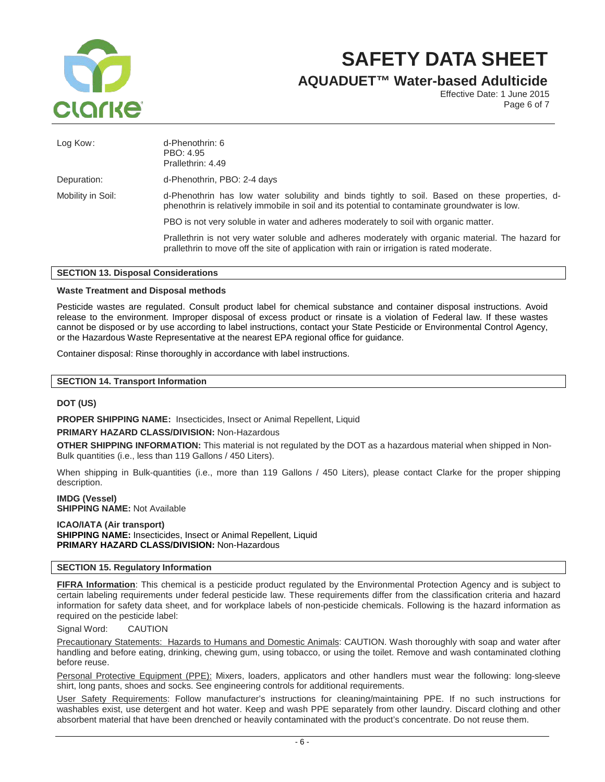

**AQUADUET™ Water-based Adulticide**

Effective Date: 1 June 2015 Page 6 of 7

| Log Kow:          | d-Phenothrin: 6<br>PBO: 4.95<br>Prallethrin: 4.49                                                                                                                                                |  |  |  |
|-------------------|--------------------------------------------------------------------------------------------------------------------------------------------------------------------------------------------------|--|--|--|
| Depuration:       | d-Phenothrin, PBO: 2-4 days                                                                                                                                                                      |  |  |  |
| Mobility in Soil: | d-Phenothrin has low water solubility and binds tightly to soil. Based on these properties, d-<br>phenothrin is relatively immobile in soil and its potential to contaminate groundwater is low. |  |  |  |
|                   | PBO is not very soluble in water and adheres moderately to soil with organic matter.                                                                                                             |  |  |  |
|                   | Prallethrin is not very water soluble and adheres moderately with organic material. The hazard for<br>prallethrin to move off the site of application with rain or irrigation is rated moderate. |  |  |  |

#### **SECTION 13. Disposal Considerations**

#### **Waste Treatment and Disposal methods**

Pesticide wastes are regulated. Consult product label for chemical substance and container disposal instructions. Avoid release to the environment. Improper disposal of excess product or rinsate is a violation of Federal law. If these wastes cannot be disposed or by use according to label instructions, contact your State Pesticide or Environmental Control Agency, or the Hazardous Waste Representative at the nearest EPA regional office for guidance.

Container disposal: Rinse thoroughly in accordance with label instructions.

## **SECTION 14. Transport Information**

#### **DOT (US)**

**PROPER SHIPPING NAME:** Insecticides, Insect or Animal Repellent, Liquid

#### **PRIMARY HAZARD CLASS/DIVISION:** Non-Hazardous

**OTHER SHIPPING INFORMATION:** This material is not regulated by the DOT as a hazardous material when shipped in Non-Bulk quantities (i.e., less than 119 Gallons / 450 Liters).

When shipping in Bulk-quantities (i.e., more than 119 Gallons / 450 Liters), please contact Clarke for the proper shipping description.

**IMDG (Vessel) SHIPPING NAME: Not Available** 

**ICAO/IATA (Air transport) SHIPPING NAME:** Insecticides, Insect or Animal Repellent, Liquid **PRIMARY HAZARD CLASS/DIVISION:** Non-Hazardous

#### **SECTION 15. Regulatory Information**

**FIFRA Information**: This chemical is a pesticide product regulated by the Environmental Protection Agency and is subject to certain labeling requirements under federal pesticide law. These requirements differ from the classification criteria and hazard information for safety data sheet, and for workplace labels of non-pesticide chemicals. Following is the hazard information as required on the pesticide label:

Signal Word: CAUTION

Precautionary Statements: Hazards to Humans and Domestic Animals: CAUTION. Wash thoroughly with soap and water after handling and before eating, drinking, chewing gum, using tobacco, or using the toilet. Remove and wash contaminated clothing before reuse.

Personal Protective Equipment (PPE): Mixers, loaders, applicators and other handlers must wear the following: long-sleeve shirt, long pants, shoes and socks. See engineering controls for additional requirements.

User Safety Requirements: Follow manufacturer's instructions for cleaning/maintaining PPE. If no such instructions for washables exist, use detergent and hot water. Keep and wash PPE separately from other laundry. Discard clothing and other absorbent material that have been drenched or heavily contaminated with the product's concentrate. Do not reuse them.